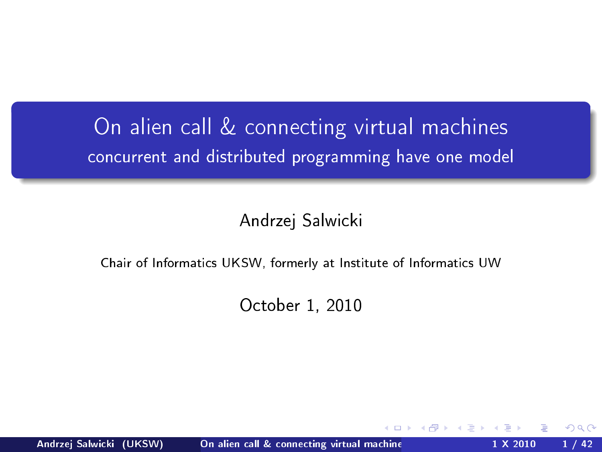## On alien call & connecting virtual machines concurrent and distributed programming have one model

Andrzej Salwicki

Chair of Informatics UKSW, formerly at Institute of Informatics UW

October 1, 2010

<span id="page-0-0"></span>nar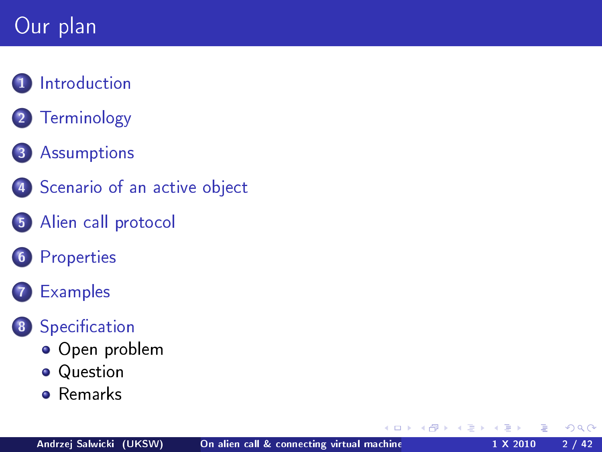# Our plan

#### **1** [Introduction](#page-2-0)

2 [Terminology](#page-3-0)

#### 3 [Assumptions](#page-4-0)

- 4 [Scenario of an active object](#page-7-0)
- 5 [Alien call protocol](#page-10-0)
- 6 [Properties](#page-15-0)

#### **[Examples](#page-18-0)**

#### 8 Specification

- [Open problem](#page-31-0)
- **•** [Question](#page-33-0)
- **o** [Remarks](#page-38-0)

 $\leftarrow$ 

 $QQ$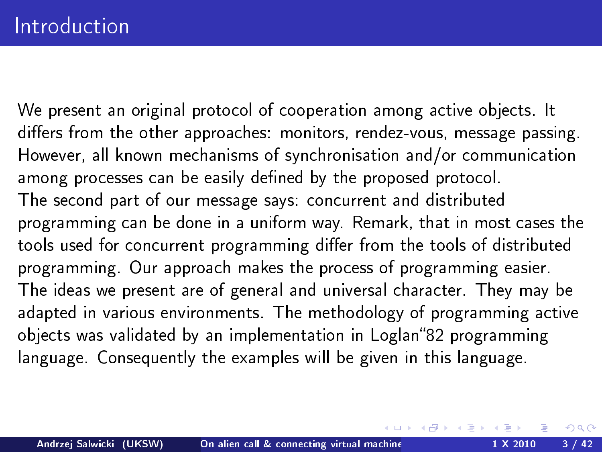<span id="page-2-0"></span>We present an original protocol of cooperation among active objects. It differs from the other approaches: monitors, rendez-vous, message passing. However, all known mechanisms of synchronisation and/or communication among processes can be easily defined by the proposed protocol. The second part of our message says: concurrent and distributed programming can be done in a uniform way. Remark, that in most cases the tools used for concurrent programming differ from the tools of distributed programming. Our approach makes the process of programming easier. The ideas we present are of general and universal character. They may be adapted in various environments. The methodology of programming active objects was validated by an implementation in Loglan 82 programming language. Consequently the examples will be given in this language.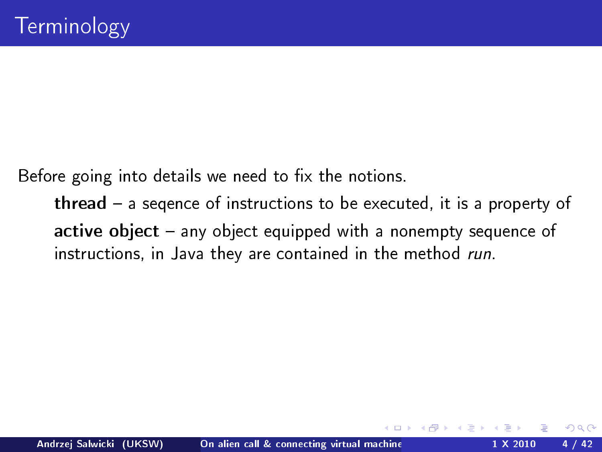Before going into details we need to fix the notions.

<span id="page-3-0"></span>thread  $-$  a segence of instructions to be executed, it is a property of active object - any object equipped with a nonempty sequence of instructions, in Java they are contained in the method run.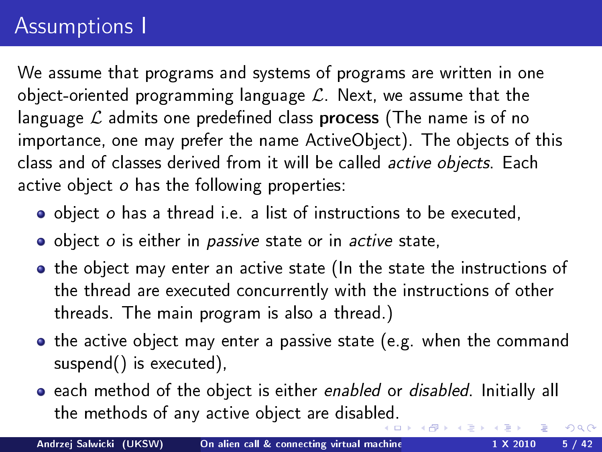# Assumptions I

We assume that programs and systems of programs are written in one object-oriented programming language  $\mathcal{L}$ . Next, we assume that the language  $\mathcal L$  admits one predefined class process (The name is of no importance, one may prefer the name ActiveObject). The objects of this class and of classes derived from it will be called active objects. Each active object o has the following properties:

- object o has a thread i.e. a list of instructions to be executed,
- o object o is either in passive state or in active state,
- the object may enter an active state (In the state the instructions of the thread are executed concurrently with the instructions of other threads. The main program is also a thread.)
- **•** the active object may enter a passive state (e.g. when the command suspend() is executed),
- **e** each method of the object is either enabled or disabled. Initially all the methods of any active object are disabl[ed](#page-3-0).

Andrzej Salwicki (UKSW) On alien call & connecting virtual machine 1 X 2010 5 / 42

<span id="page-4-0"></span> $\Omega$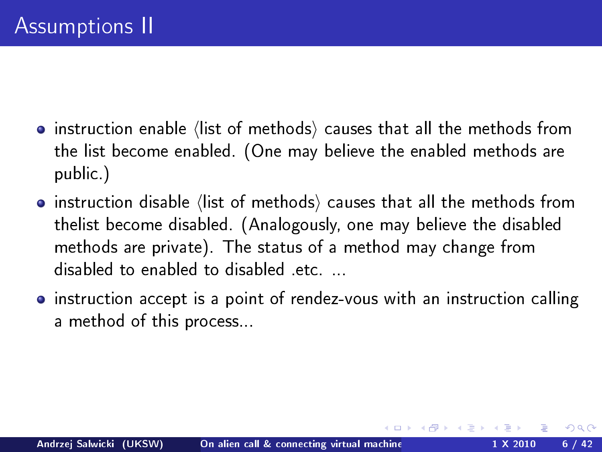- $\bullet$  instruction enable (list of methods) causes that all the methods from the list become enabled. (One may believe the enabled methods are public.)
- $\bullet$  instruction disable (list of methods) causes that all the methods from thelist become disabled. (Analogously, one may believe the disabled methods are private). The status of a method may change from disabled to enabled to disabled etc....
- instruction accept is a point of rendez-vous with an instruction calling a method of this process...

nar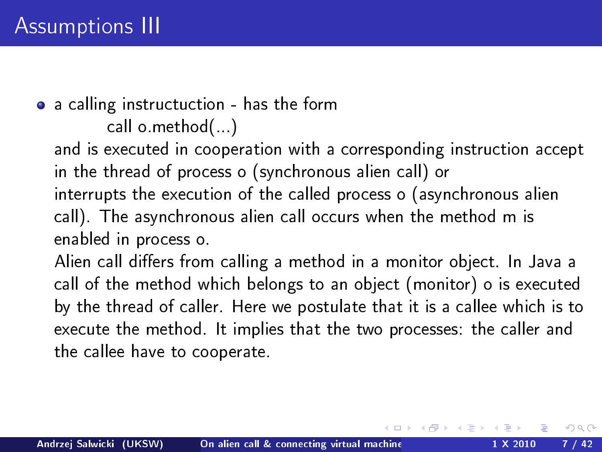#### a calling instructuction - has the form call o.method(...)

and is executed in cooperation with a corresponding instruction accept in the thread of process o (synchronous alien call) or interrupts the execution of the called process o (asynchronous alien call). The asynchronous alien call occurs when the method m is enabled in process o.

<span id="page-6-0"></span>Alien call differs from calling a method in a monitor object. In Java a call of the method which belongs to an object (monitor) o is executed by the thread of caller. Here we postulate that it is a callee which is to execute the method. It implies that the two processes: the caller and the callee have to cooperate.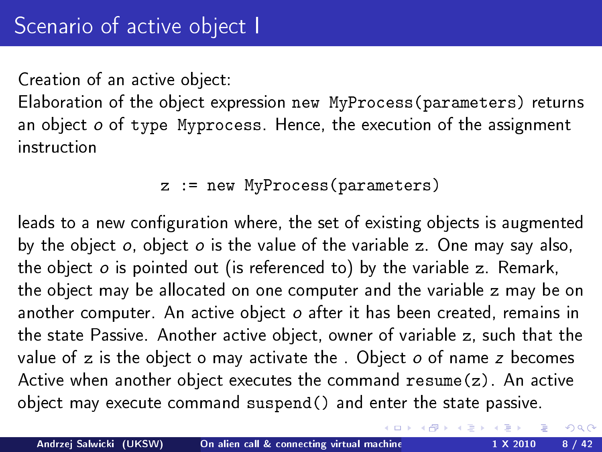Creation of an active object:

Elaboration of the object expression new MyProcess(parameters) returns an object o of type Myprocess. Hence, the execution of the assignment instruction

```
z := new MyProcess(parameters)
```
leads to a new configuration where, the set of existing objects is augmented by the object o, object o is the value of the variable z. One may say also, the object o is pointed out (is referenced to) by the variable z. Remark, the object may be allocated on one computer and the variable z may be on another computer. An active object o after it has been created, remains in the state Passive. Another active object, owner of variable z, such that the value of z is the object o may activate the . Object o of name z becomes Active when another object executes the command resume(z). An active object may execute command suspend() and enter the state passive.

<span id="page-7-0"></span> $2990$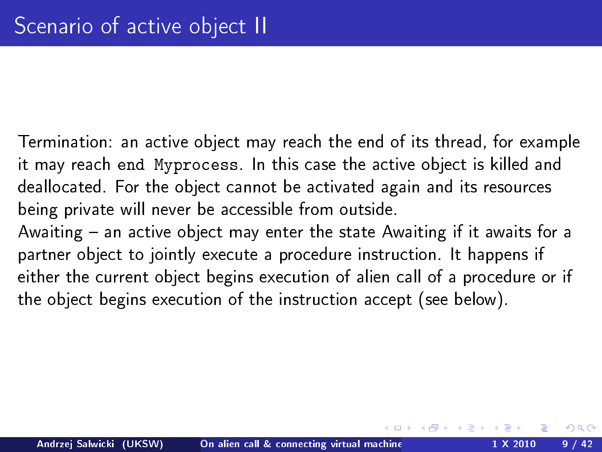Termination: an active object may reach the end of its thread, for example it may reach end Myprocess. In this case the active object is killed and deallocated. For the object cannot be activated again and its resources being private will never be accessible from outside.

<span id="page-8-0"></span>Awaiting  $-$  an active object may enter the state Awaiting if it awaits for a partner object to jointly execute a procedure instruction. It happens if either the current object begins execution of alien call of a procedure or if the object begins execution of the instruction accept (see below).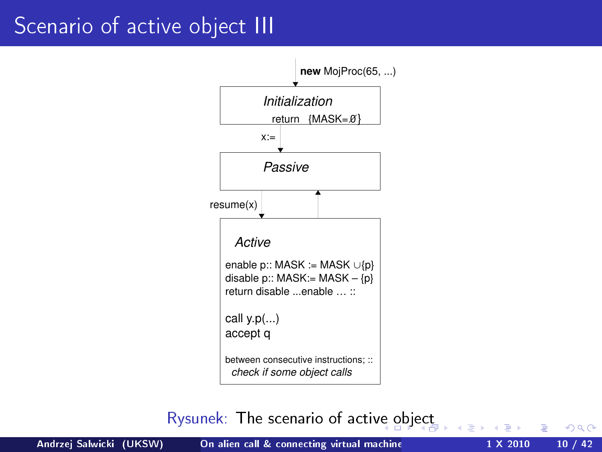#### Scenario of active object III



Rysunek: The scenario of acti[ve](#page-8-0) o[bj](#page-10-0)[ec](#page-6-0)[t](#page-7-0)

<span id="page-9-0"></span> $2Q$ 

Andrzej Salwicki (UKSW) On alien call & connecting virtual machine 1 X 2010 10 / 42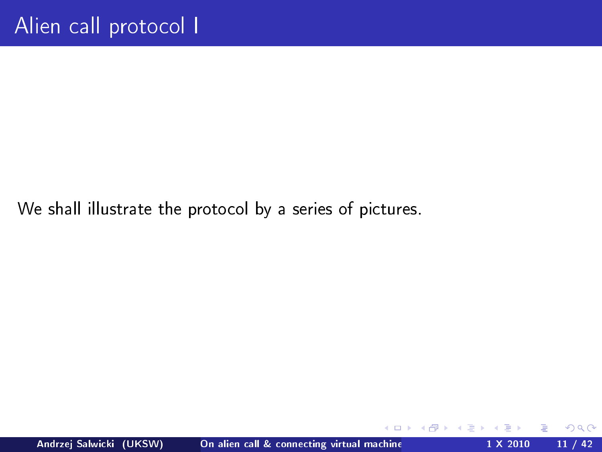We shall illustrate the protocol by a series of pictures.



 $\leftarrow$ 

<span id="page-10-0"></span> $QQ$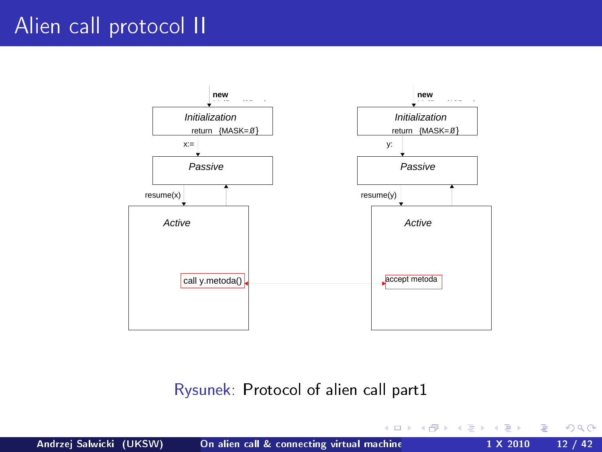## Alien call protocol II



#### Rysunek: Protocol of alien call part1

**K ロ ト K 何 ト K ヨ ト K** 

D. B  $2Q$ 

Andrzej Salwicki (UKSW) On alien call & connecting virtual machine 1 X 2010 12 / 42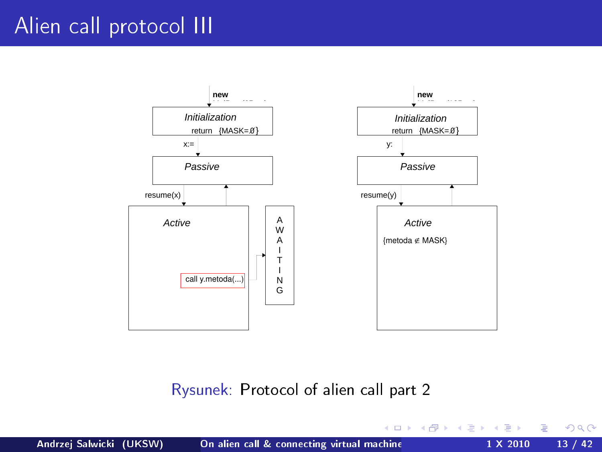## Alien call protocol III



Rysunek: Protocol of alien call part 2

∍

 $2Q$ 

÷

**In** 

イロト イ母ト イヨト イ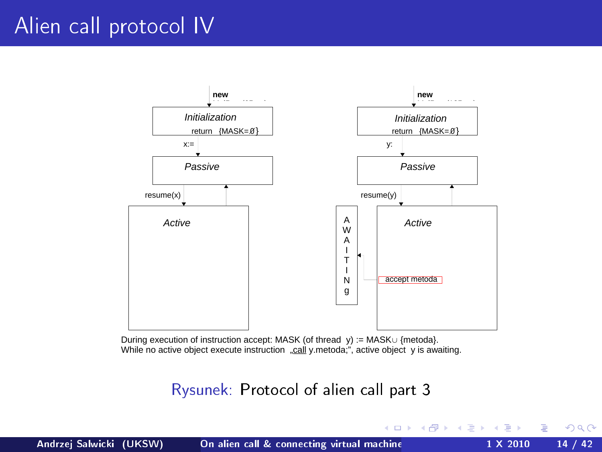### Alien call protocol IV



During execution of instruction accept: MASK (of thread y) := MASK∪ {metoda}. While no active object execute instruction ...call y.metoda;", active object y is awaiting.

Rysunek: Protocol of alien call part 3

 $2Q$ 

イロト イ母ト イヨト イ

重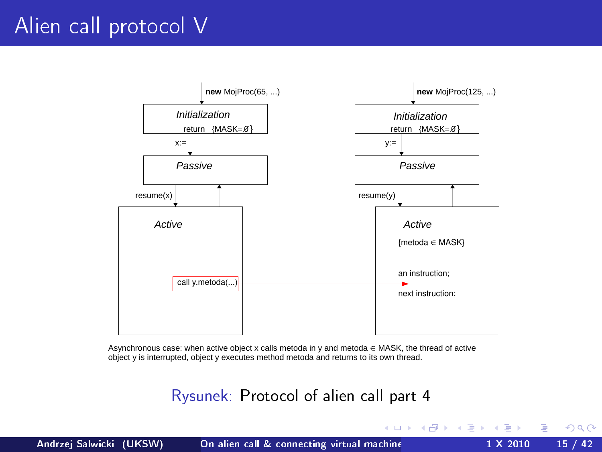## Alien call protocol V



Asynchronous case: when active object x calls metoda in y and metoda ∈ MASK, the thread of active object y is interrupted, object y executes method metoda and returns to its own thread.

#### Rysunek: Protocol of alien call part 4

 $2Q$ 

イロメ イ母メ イヨメ イヨメー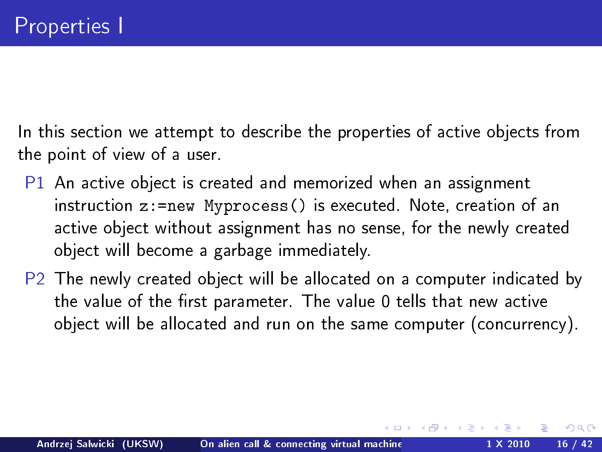In this section we attempt to describe the properties of active objects from the point of view of a user.

- P1 An active object is created and memorized when an assignment instruction z:=new Myprocess() is executed. Note, creation of an active object without assignment has no sense, for the newly created object will become a garbage immediately.
- P2 The newly created object will be allocated on a computer indicated by the value of the first parameter. The value 0 tells that new active object will be allocated and run on the same computer (concurrency).

<span id="page-15-0"></span>つのへ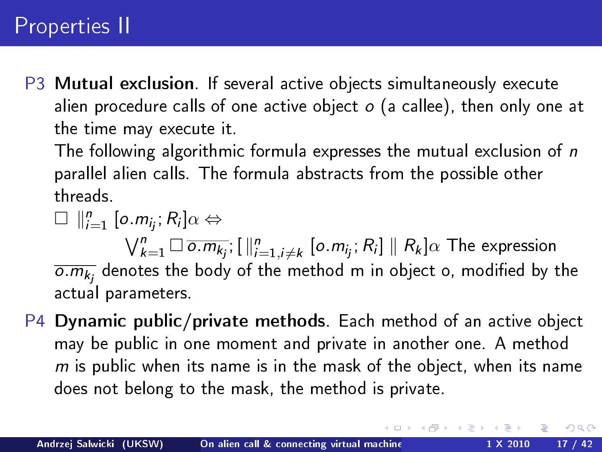## Properties II

P3 Mutual exclusion. If several active objects simultaneously execute alien procedure calls of one active object  $o$  (a callee), then only one at the time may execute it.

The following algorithmic formula expresses the mutual exclusion of n parallel alien calls. The formula abstracts from the possible other threads.

 $\Box$   $\parallel_{i=1}^{n} [\circ.m_{ij}; R_{i}] \alpha \Leftrightarrow$ 

 $\bigvee_{k=1}^n \Box \, \overline{\circ.m_{k_j}}; [\, \Vert_{j=1,j\ne k}^n \ [\circ.m_{j_j};\,R_i]\, \Vert \,\, R_k]\alpha$  The expression  $\overline{o.m_{k_j}}$  denotes the body of the method m in object o, modified by the actual parameters.

P4 Dynamic public/private methods. Each method of an active object may be public in one moment and private in another one. A method  $m$  is public when its name is in the mask of the object, when its name does not belong to the mask, the method is private.

つのへ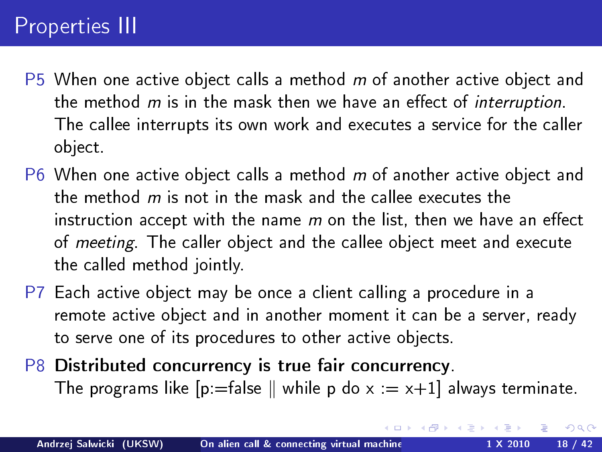## Properties III

- $P5$  When one active object calls a method m of another active object and the method  $m$  is in the mask then we have an effect of interruption. The callee interrupts its own work and executes a service for the caller object.
- P6 When one active object calls a method  $m$  of another active object and the method  $m$  is not in the mask and the callee executes the instruction accept with the name  $m$  on the list, then we have an effect of *meeting*. The caller object and the callee object meet and execute the called method jointly.
- P7 Each active object may be once a client calling a procedure in a remote active object and in another moment it can be a server, ready to serve one of its procedures to other active objects.
- P8 Distributed concurrency is true fair concurrency. The programs like  $[p]$ =false  $\parallel$  while p do x := x+1] always terminate.

 $\Omega$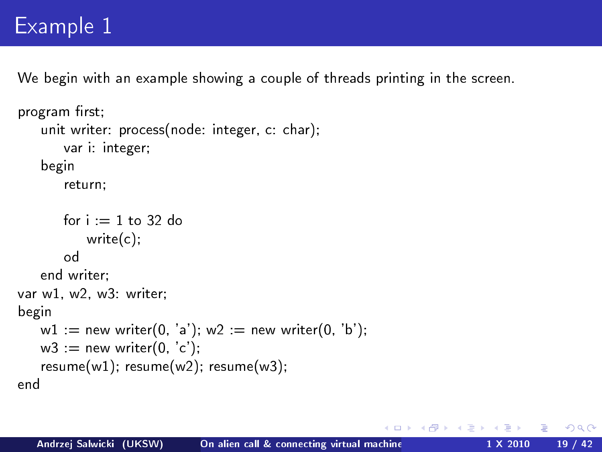## Example 1

We begin with an example showing a couple of threads printing in the screen.

```
program first;
   unit writer: process(node: integer, c: char);
       var i: integer;
   begin
       return;
       for i = 1 to 32 do
           write(c);
       od
   end writer;
var w1, w2, w3: writer:
begin
   w1 := new writer(0, 'a'); w2 := new writer(0, 'b');
   w3 := new writer(0, 'c');
   resume(w1); resume(w2); resume(w3);
end
```
<span id="page-18-0"></span>つくい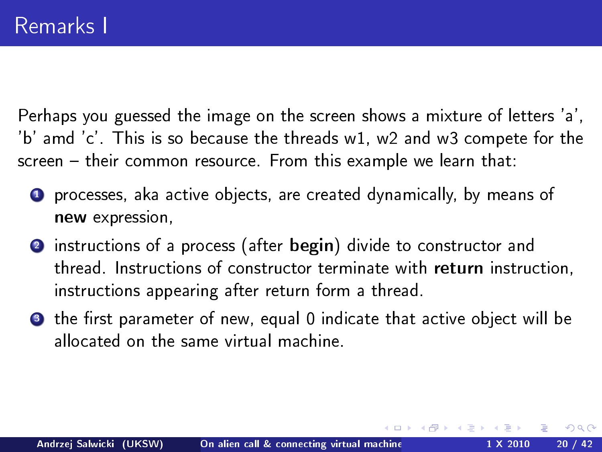Perhaps you guessed the image on the screen shows a mixture of letters 'a', 'b' amd 'c'. This is so because the threads w1, w2 and w3 compete for the screen - their common resource. From this example we learn that:

- **4** processes, aka active objects, are created dynamically, by means of new expression,
- 2 instructions of a process (after begin) divide to constructor and thread. Instructions of constructor terminate with return instruction, instructions appearing after return form a thread.
- **3** the first parameter of new, equal 0 indicate that active object will be allocated on the same virtual machine.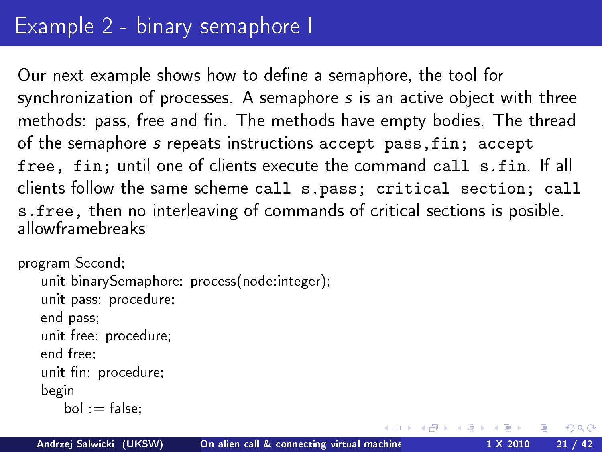Our next example shows how to define a semaphore, the tool for synchronization of processes. A semaphore s is an active object with three methods: pass, free and fin. The methods have empty bodies. The thread of the semaphore s repeats instructions accept pass,fin; accept free, fin; until one of clients execute the command call s.fin. If all clients follow the same scheme call s.pass; critical section; call s.free, then no interleaving of commands of critical sections is posible. allowframebreaks

 $\Omega$ 

```
program Second;
   unit binarySemaphore: process(node:integer);
   unit pass: procedure;
   end pass;
   unit free: procedure;
   end free;
   unit fin: procedure;
   begin
       bol := false:
```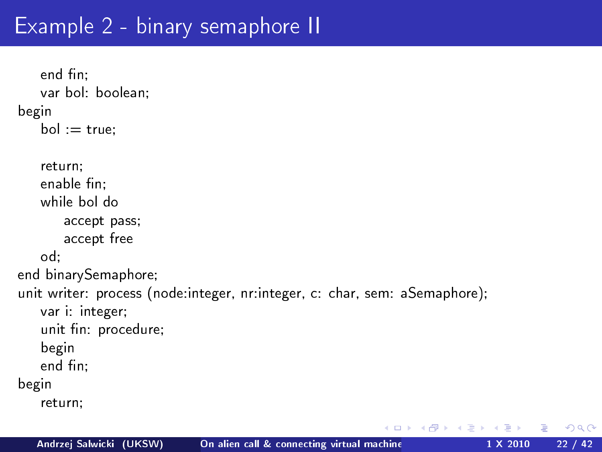## Example 2 - binary semaphore II

```
end fin:
   var bol: boolean;
begin
   bol := true;
   return;
   enable fin:
   while bol do
       accept pass;
       accept free
   od;
end binarySemaphore;
unit writer: process (node:integer, nr:integer, c: char, sem: aSemaphore);
   var i: integer;
   unit fin: procedure;
   begin
   end fin;
begin
   return;
```
 $+$ 

 $\Omega$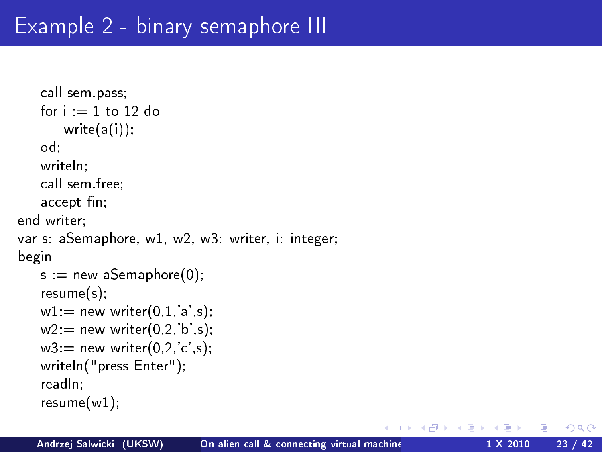```
call sem.pass;
   for i = 1 to 12 do
       write(a(i));
   od;
   writeln;
   call sem.free;
   accept fin;
end writer;
var s: aSemaphore, w1, w2, w3: writer, i: integer;
begin
   s = new aSemaphore(0);
   resume(s);
   w1: = new writer(0,1,'a',s);
   w2 = new writer(0,2,'b',s);
   w3 = new writer(0,2,'c',s);
   writeln("press Enter");
   readln;
   resume(w1);
```
つくい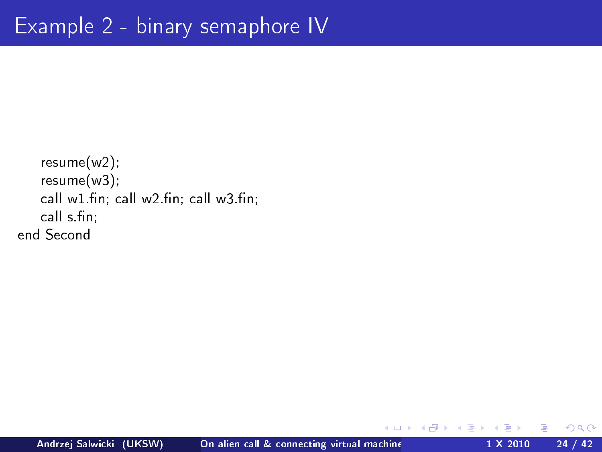```
resume(w2);
   resume(w3);
   cal w1 fin; call w2 fin; call w3 fin;
   call s.fin;
end Second
```
 $+$ 

 $QQ$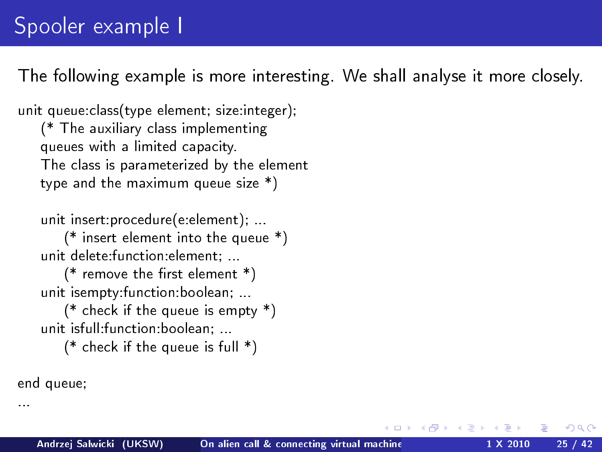The following example is more interesting. We shall analyse it more closely.

つのへ

unit queue:class(type element; size:integer); (\* The auxiliary class implementing queues with a limited capacity. The class is parameterized by the element type and the maximum queue size \*)

unit insert:procedure(e:element); ...

(\* insert element into the queue \*) unit delete:function:element; ...

(\* remove the first element  $*)$ unit isempty:function:boolean; ...

(\* check if the queue is empty \*) unit isfull:function:boolean; ...

(\* check if the queue is full  $*)$ 

end queue;

...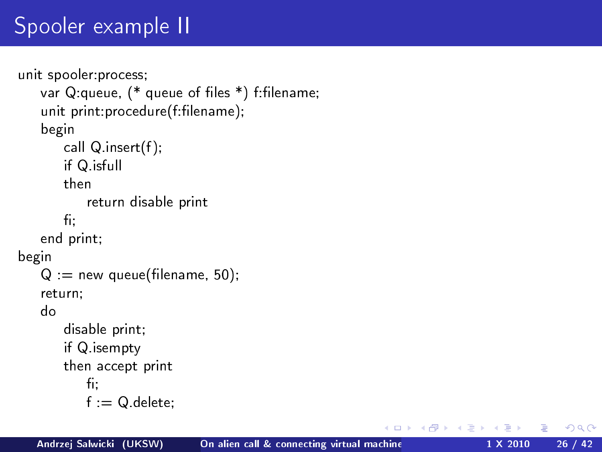# Spooler example II

```
unit spooler:process;
    var Q:queue, (* queue of files *) f:filename;
    unit print: procedure(f: filename);
    begin
       call Q.insert(f);
       if Q.isfull
       then
           return disable print
       fi;
    end print;
begin
    Q = new queue(filename, 50);
    return;
    do
       disable print;
        if Q.isempty
       then accept print
           f_{\rm 1}:
           f := Q delete;
```
 $\blacksquare$ 

 $\Omega$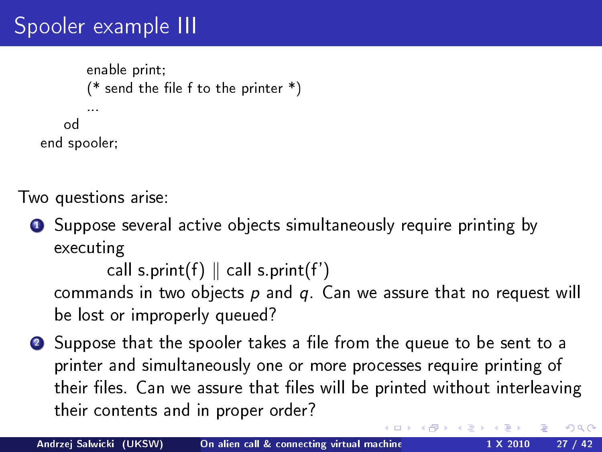# Spooler example III

```
enable print;
       (* send the file f to the printer *)...
   od
end spooler;
```
Two questions arise:

**1** Suppose several active objects simultaneously require printing by executing

```
call s.print(f) \parallel call s.print(f')
```
commands in two objects  $p$  and  $q$ . Can we assure that no request will be lost or improperly queued?

**2** Suppose that the spooler takes a file from the queue to be sent to a printer and simultaneously one or more processes require printing of their files. Can we assure that files will be printed without interleaving their contents and in proper order?

つのへ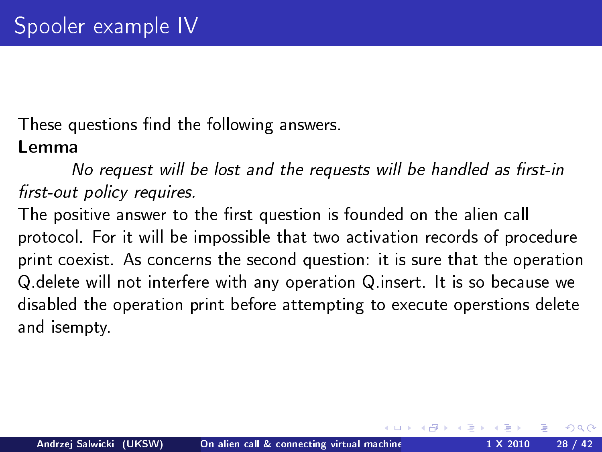These questions find the following answers.

#### Lemma

No request will be lost and the requests will be handled as first-in first-out policy requires.

The positive answer to the first question is founded on the alien call protocol. For it will be impossible that two activation records of procedure print coexist. As concerns the second question: it is sure that the operation Q.delete will not interfere with any operation Q.insert. It is so because we disabled the operation print before attempting to execute operstions delete and isempty.

つのへ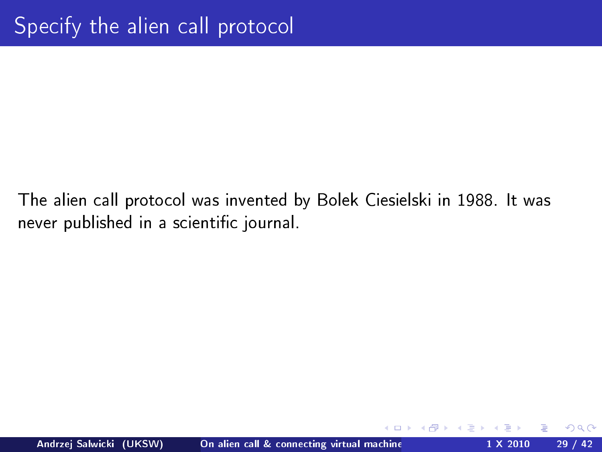The alien call protocol was invented by Bolek Ciesielski in 1988. It was never published in a scientific journal.

<span id="page-28-0"></span>つくい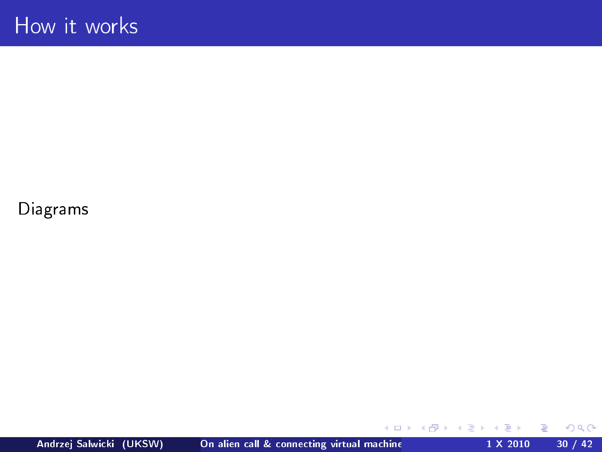Diagrams

 $\equiv$ 

 $299$ 

Þ  $\sim$ 

 $\mathcal{A}$ 

**K ロ ト K 何 ト K ヨ ト**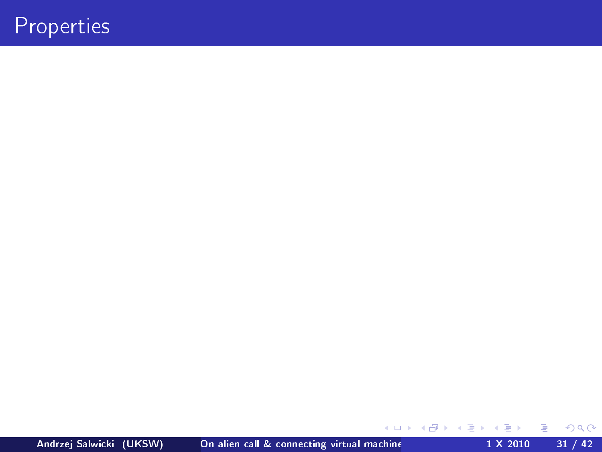## Properties

Andrzej Salwicki (UKSW) On alien call & connecting virtual machine 1 X 2010 31 / 42

 $\Rightarrow$ 

**K ロ ト K 何 ト K ヨ ト K** 

 $2Q$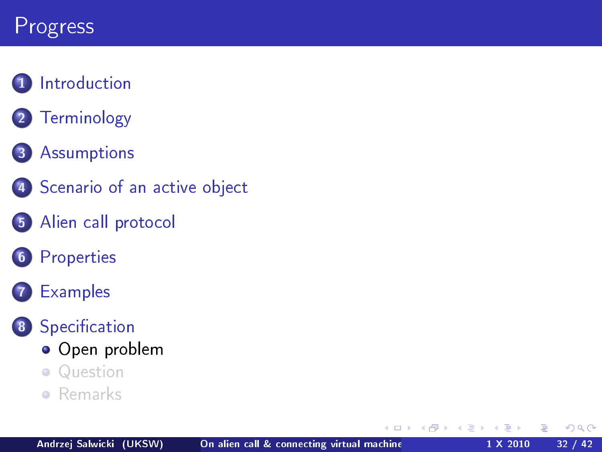## Progress

#### **1** [Introduction](#page-2-0)

2 [Terminology](#page-3-0)

#### 3 [Assumptions](#page-4-0)

- 4 [Scenario of an active object](#page-7-0)
- 5 [Alien call protocol](#page-10-0)
- **6** [Properties](#page-15-0)

#### **[Examples](#page-18-0)**

#### 8 Specification

- [Open problem](#page-31-0)
- **•** [Question](#page-33-0)
- [Remarks](#page-38-0)  $\bullet$

 $\leftarrow$   $\Box$ 

<span id="page-31-0"></span> $QQ$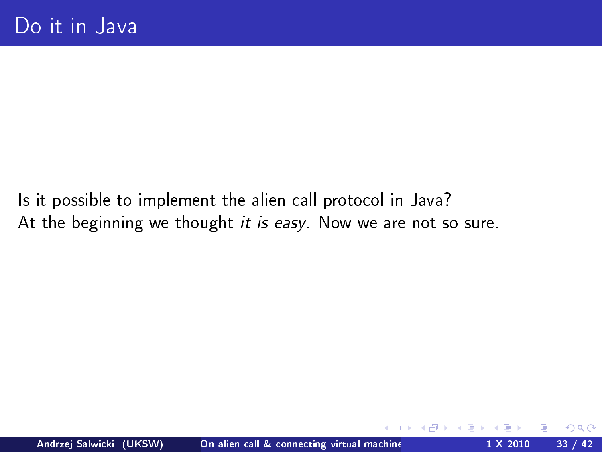Is it possible to implement the alien call protocol in Java? At the beginning we thought it is easy. Now we are not so sure.

つくい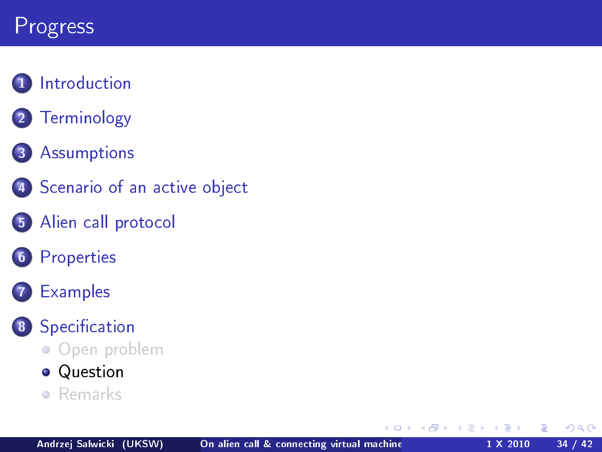## Progress

#### **1** [Introduction](#page-2-0)

2 [Terminology](#page-3-0)

#### 3 [Assumptions](#page-4-0)

- 4 [Scenario of an active object](#page-7-0)
- 5 [Alien call protocol](#page-10-0)
- 6 [Properties](#page-15-0)

#### **[Examples](#page-18-0)**

#### 8 Specification

• [Open problem](#page-31-0)

#### **•** [Question](#page-33-0)

**•** [Remarks](#page-38-0)

 $+$ 

<span id="page-33-0"></span> $QQ$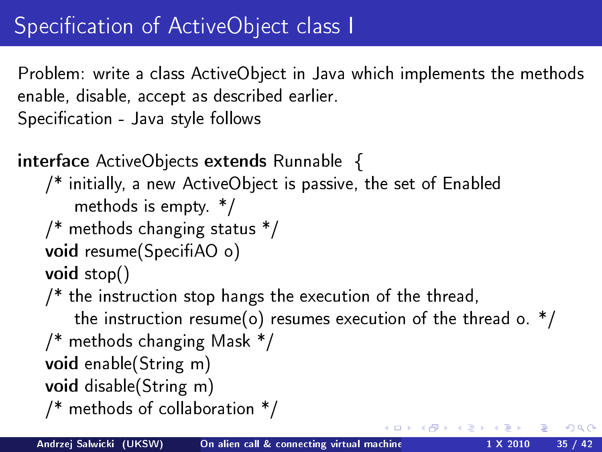Problem: write a class ActiveObject in Java which implements the methods enable, disable, accept as described earlier. Specification - Java style follows

```
interface ActiveObjects extends Runnable {
   /* initially, a new ActiveObject is passive, the set of Enabled
       methods is empty. */
   /* methods changing status */
   void resume(SpecifiAO o)
   void stop()
   /* the instruction stop hangs the execution of the thread,
       the instruction resume(o) resumes execution of the thread o. *//* methods changing Mask */
   void enable(String m)
   void disable(String m)
   /* methods of collaboration */
                                                (□) (@)
```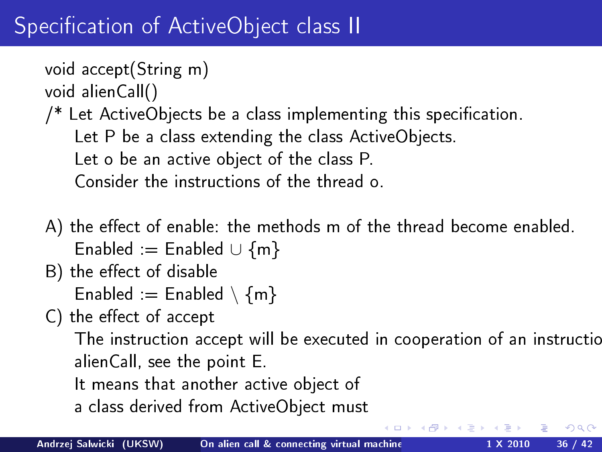## Specification of ActiveObject class II

```
void accept(String m)
```

```
void alienCall()
```
 $/*$  Let ActiveObjects be a class implementing this specification. Let P be a class extending the class ActiveObjects. Let o be an active object of the class P. Consider the instructions of the thread o.

- A) the effect of enable: the methods m of the thread become enabled. Enabled := Enabled  $\cup$   $\{m\}$
- B) the effect of disable

Enabled := Enabled  $\{m\}$ 

C) the effect of accept

The instruction accept will be executed in cooperation of an instructic alienCall, see the point E.

つのへ

- It means that another active object of
- a class derived from ActiveObject must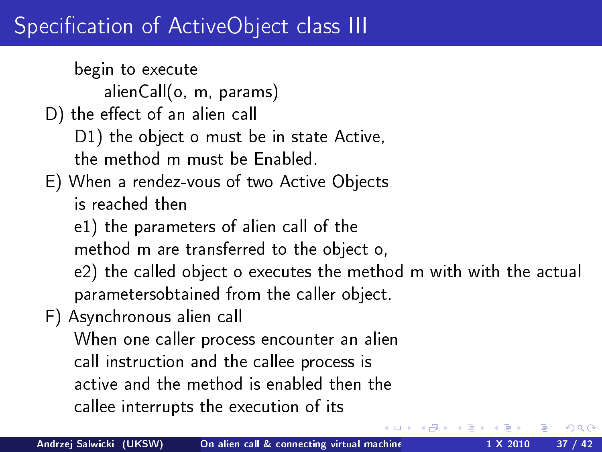## Specification of ActiveObject class III

begin to execute alienCall(o, m, params) D) the effect of an alien call D1) the object o must be in state Active, the method m must be Enabled. E) When a rendez-vous of two Active Objects is reached then e1) the parameters of alien call of the method m are transferred to the object o, e2) the called object o executes the method m with with the actual parametersobtained from the caller object. F) Asynchronous alien call When one caller process encounter an alien call instruction and the callee process is active and the method is enabled then the callee interrupts the execution of its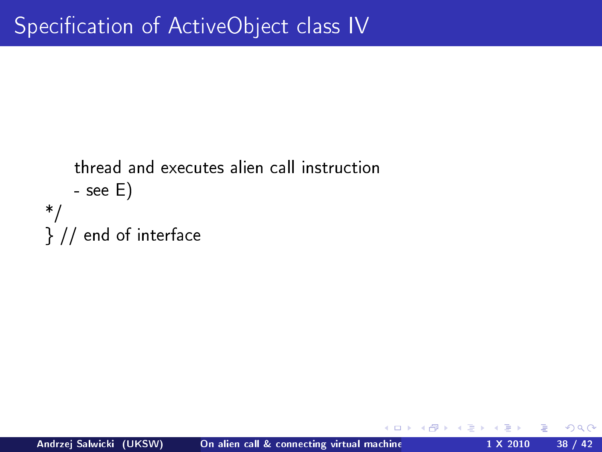```
thread and executes alien call instruction
    - see E)
*/
} // end of interface
```
 $\leftarrow$ 

つくい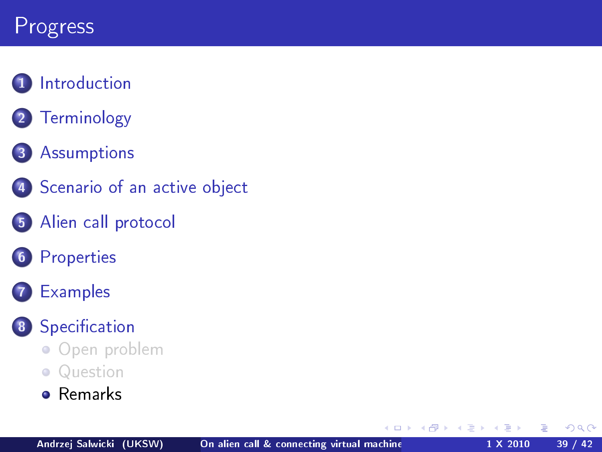## Progress

#### **1** [Introduction](#page-2-0)

2 [Terminology](#page-3-0)

#### 3 [Assumptions](#page-4-0)

- 4 [Scenario of an active object](#page-7-0)
- 5 [Alien call protocol](#page-10-0)
- **6** [Properties](#page-15-0)

#### **[Examples](#page-18-0)**

#### 8 Specification

- [Open problem](#page-31-0)
- **•** [Question](#page-33-0)
- **o** [Remarks](#page-38-0)

 $\leftarrow$   $\Box$ 

<span id="page-38-0"></span> $QQ$ 

∍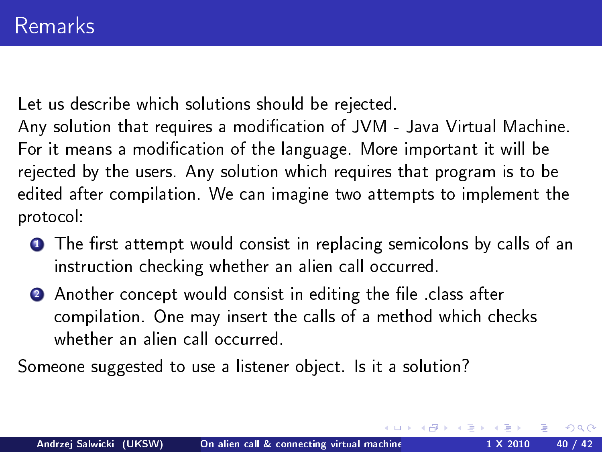Let us describe which solutions should be rejected.

Any solution that requires a modification of JVM - Java Virtual Machine. For it means a modification of the language. More important it will be rejected by the users. Any solution which requires that program is to be edited after compilation. We can imagine two attempts to implement the protocol:

- $\bullet$  The first attempt would consist in replacing semicolons by calls of an instruction checking whether an alien call occurred.
- 2 Another concept would consist in editing the file class after compilation. One may insert the calls of a method which checks whether an alien call occurred.

Someone suggested to use a listener object. Is it a solution?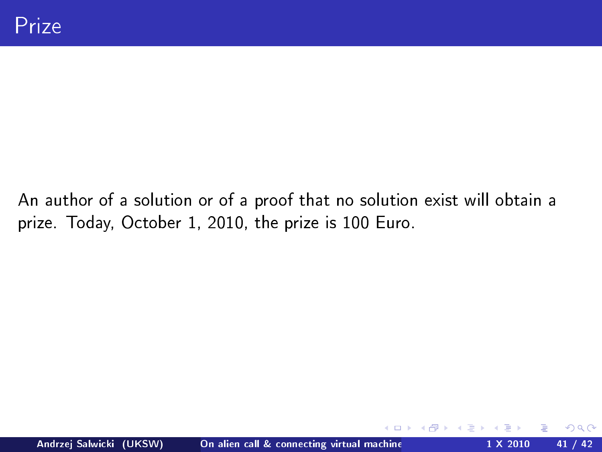An author of a solution or of a proof that no solution exist will obtain a prize. Today, October 1, 2010, the prize is 100 Euro.

 $\leftarrow$ 

つくい